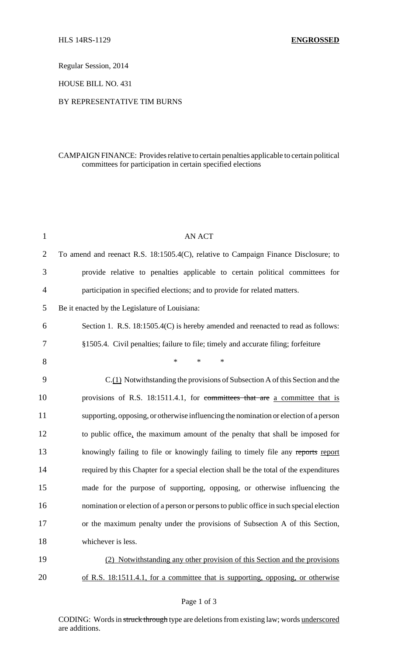Regular Session, 2014

HOUSE BILL NO. 431

## BY REPRESENTATIVE TIM BURNS

## CAMPAIGN FINANCE: Provides relative to certain penalties applicable to certain political committees for participation in certain specified elections

| $\mathbf{1}$   | <b>AN ACT</b>                                                                           |
|----------------|-----------------------------------------------------------------------------------------|
| $\overline{2}$ | To amend and reenact R.S. 18:1505.4(C), relative to Campaign Finance Disclosure; to     |
| 3              | provide relative to penalties applicable to certain political committees for            |
| 4              | participation in specified elections; and to provide for related matters.               |
| 5              | Be it enacted by the Legislature of Louisiana:                                          |
| 6              | Section 1. R.S. 18:1505.4(C) is hereby amended and reenacted to read as follows:        |
| 7              | §1505.4. Civil penalties; failure to file; timely and accurate filing; forfeiture       |
| 8              | $\ast$<br>$\ast$<br>$\ast$                                                              |
| 9              | C.(1) Notwithstanding the provisions of Subsection A of this Section and the            |
| 10             | provisions of R.S. 18:1511.4.1, for committees that are a committee that is             |
| 11             | supporting, opposing, or otherwise influencing the nomination or election of a person   |
| 12             | to public office, the maximum amount of the penalty that shall be imposed for           |
| 13             | knowingly failing to file or knowingly failing to timely file any reports report        |
| 14             | required by this Chapter for a special election shall be the total of the expenditures  |
| 15             | made for the purpose of supporting, opposing, or otherwise influencing the              |
| 16             | nomination or election of a person or persons to public office in such special election |
| 17             | or the maximum penalty under the provisions of Subsection A of this Section,            |
| 18             | whichever is less.                                                                      |
| 19             | (2) Notwithstanding any other provision of this Section and the provisions              |
| 20             | of R.S. 18:1511.4.1, for a committee that is supporting, opposing, or otherwise         |

CODING: Words in struck through type are deletions from existing law; words underscored are additions.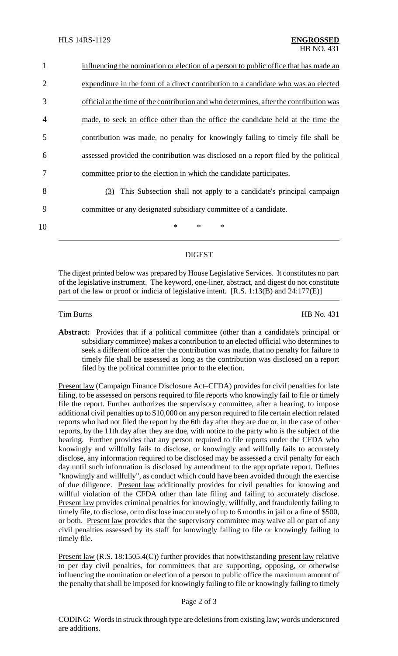| 1              | influencing the nomination or election of a person to public office that has made an    |
|----------------|-----------------------------------------------------------------------------------------|
| $\overline{2}$ | expenditure in the form of a direct contribution to a candidate who was an elected      |
| 3              | official at the time of the contribution and who determines, after the contribution was |
| 4              | made, to seek an office other than the office the candidate held at the time the        |
| 5              | contribution was made, no penalty for knowingly failing to timely file shall be         |
| 6              | assessed provided the contribution was disclosed on a report filed by the political     |
|                | committee prior to the election in which the candidate participates.                    |
| 8              | (3) This Subsection shall not apply to a candidate's principal campaign                 |
| 9              | committee or any designated subsidiary committee of a candidate.                        |
| 10             | $\ast$<br>$\ast$<br>∗                                                                   |

## DIGEST

The digest printed below was prepared by House Legislative Services. It constitutes no part of the legislative instrument. The keyword, one-liner, abstract, and digest do not constitute part of the law or proof or indicia of legislative intent. [R.S. 1:13(B) and 24:177(E)]

Tim Burns HB No. 431

**Abstract:** Provides that if a political committee (other than a candidate's principal or subsidiary committee) makes a contribution to an elected official who determines to seek a different office after the contribution was made, that no penalty for failure to timely file shall be assessed as long as the contribution was disclosed on a report filed by the political committee prior to the election.

Present law (Campaign Finance Disclosure Act–CFDA) provides for civil penalties for late filing, to be assessed on persons required to file reports who knowingly fail to file or timely file the report. Further authorizes the supervisory committee, after a hearing, to impose additional civil penalties up to \$10,000 on any person required to file certain election related reports who had not filed the report by the 6th day after they are due or, in the case of other reports, by the 11th day after they are due, with notice to the party who is the subject of the hearing. Further provides that any person required to file reports under the CFDA who knowingly and willfully fails to disclose, or knowingly and willfully fails to accurately disclose, any information required to be disclosed may be assessed a civil penalty for each day until such information is disclosed by amendment to the appropriate report. Defines "knowingly and willfully", as conduct which could have been avoided through the exercise of due diligence. Present law additionally provides for civil penalties for knowing and willful violation of the CFDA other than late filing and failing to accurately disclose. Present law provides criminal penalties for knowingly, willfully, and fraudulently failing to timely file, to disclose, or to disclose inaccurately of up to 6 months in jail or a fine of \$500, or both. Present law provides that the supervisory committee may waive all or part of any civil penalties assessed by its staff for knowingly failing to file or knowingly failing to timely file.

Present law (R.S. 18:1505.4(C)) further provides that notwithstanding present law relative to per day civil penalties, for committees that are supporting, opposing, or otherwise influencing the nomination or election of a person to public office the maximum amount of the penalty that shall be imposed for knowingly failing to file or knowingly failing to timely

## Page 2 of 3

CODING: Words in struck through type are deletions from existing law; words underscored are additions.